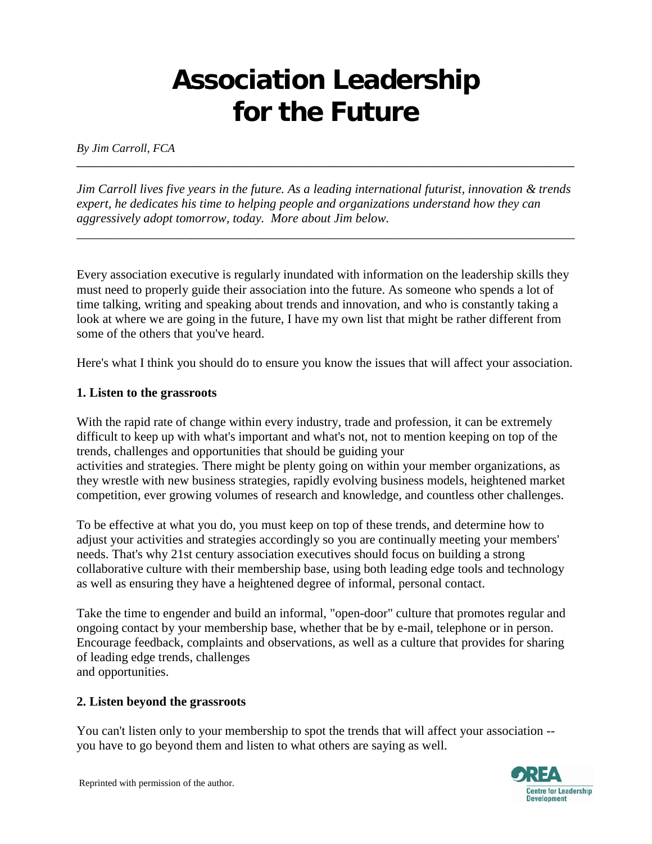# **Association Leadership for the Future**

*By Jim Carroll, FCA*

*Jim Carroll lives five years in the future. As a leading international futurist, innovation & trends expert, he dedicates his time to helping people and organizations understand how they can aggressively adopt tomorrow, today. More about Jim below.*

*\_\_\_\_\_\_\_\_\_\_\_\_\_\_\_\_\_\_\_\_\_\_\_\_\_\_\_\_\_\_\_\_\_\_\_\_\_\_\_\_\_\_\_\_\_\_\_\_\_\_\_\_\_\_\_\_\_\_\_\_\_\_\_\_\_\_\_\_\_\_\_\_\_\_\_\_\_\_*

*\_\_\_\_\_\_\_\_\_\_\_\_\_\_\_\_\_\_\_\_\_\_\_\_\_\_\_\_\_\_\_\_\_\_\_\_\_\_\_\_\_\_\_\_\_\_\_\_\_\_\_\_\_\_\_\_\_\_\_\_\_\_\_\_\_\_\_\_\_\_\_\_\_\_\_\_\_\_\_\_\_\_\_\_\_*

Every association executive is regularly inundated with information on the leadership skills they must need to properly guide their association into the future. As someone who spends a lot of time talking, writing and speaking about trends and innovation, and who is constantly taking a look at where we are going in the future, I have my own list that might be rather different from some of the others that you've heard.

Here's what I think you should do to ensure you know the issues that will affect your association.

#### **1. Listen to the grassroots**

With the rapid rate of change within every industry, trade and profession, it can be extremely difficult to keep up with what's important and what's not, not to mention keeping on top of the trends, challenges and opportunities that should be guiding your activities and strategies. There might be plenty going on within your member organizations, as they wrestle with new business strategies, rapidly evolving business models, heightened market competition, ever growing volumes of research and knowledge, and countless other challenges.

To be effective at what you do, you must keep on top of these trends, and determine how to adjust your activities and strategies accordingly so you are continually meeting your members' needs. That's why 21st century association executives should focus on building a strong collaborative culture with their membership base, using both leading edge tools and technology as well as ensuring they have a heightened degree of informal, personal contact.

Take the time to engender and build an informal, "open-door" culture that promotes regular and ongoing contact by your membership base, whether that be by e-mail, telephone or in person. Encourage feedback, complaints and observations, as well as a culture that provides for sharing of leading edge trends, challenges and opportunities.

#### **2. Listen beyond the grassroots**

You can't listen only to your membership to spot the trends that will affect your association - you have to go beyond them and listen to what others are saying as well.

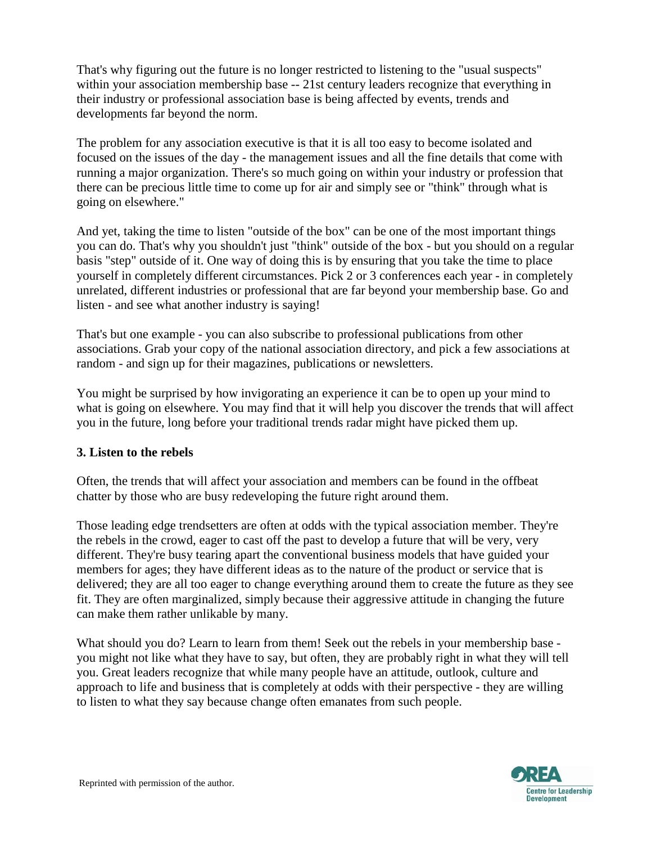That's why figuring out the future is no longer restricted to listening to the "usual suspects" within your association membership base -- 21st century leaders recognize that everything in their industry or professional association base is being affected by events, trends and developments far beyond the norm.

The problem for any association executive is that it is all too easy to become isolated and focused on the issues of the day - the management issues and all the fine details that come with running a major organization. There's so much going on within your industry or profession that there can be precious little time to come up for air and simply see or "think" through what is going on elsewhere."

And yet, taking the time to listen "outside of the box" can be one of the most important things you can do. That's why you shouldn't just "think" outside of the box - but you should on a regular basis "step" outside of it. One way of doing this is by ensuring that you take the time to place yourself in completely different circumstances. Pick 2 or 3 conferences each year - in completely unrelated, different industries or professional that are far beyond your membership base. Go and listen - and see what another industry is saying!

That's but one example - you can also subscribe to professional publications from other associations. Grab your copy of the national association directory, and pick a few associations at random - and sign up for their magazines, publications or newsletters.

You might be surprised by how invigorating an experience it can be to open up your mind to what is going on elsewhere. You may find that it will help you discover the trends that will affect you in the future, long before your traditional trends radar might have picked them up.

## **3. Listen to the rebels**

Often, the trends that will affect your association and members can be found in the offbeat chatter by those who are busy redeveloping the future right around them.

Those leading edge trendsetters are often at odds with the typical association member. They're the rebels in the crowd, eager to cast off the past to develop a future that will be very, very different. They're busy tearing apart the conventional business models that have guided your members for ages; they have different ideas as to the nature of the product or service that is delivered; they are all too eager to change everything around them to create the future as they see fit. They are often marginalized, simply because their aggressive attitude in changing the future can make them rather unlikable by many.

What should you do? Learn to learn from them! Seek out the rebels in your membership base you might not like what they have to say, but often, they are probably right in what they will tell you. Great leaders recognize that while many people have an attitude, outlook, culture and approach to life and business that is completely at odds with their perspective - they are willing to listen to what they say because change often emanates from such people.

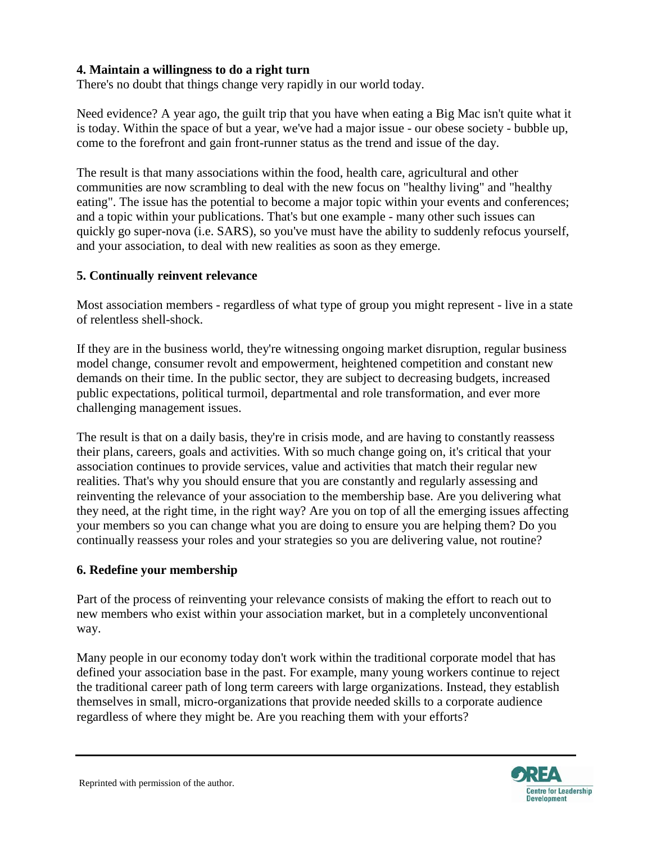## **4. Maintain a willingness to do a right turn**

There's no doubt that things change very rapidly in our world today.

Need evidence? A year ago, the guilt trip that you have when eating a Big Mac isn't quite what it is today. Within the space of but a year, we've had a major issue - our obese society - bubble up, come to the forefront and gain front-runner status as the trend and issue of the day.

The result is that many associations within the food, health care, agricultural and other communities are now scrambling to deal with the new focus on "healthy living" and "healthy eating". The issue has the potential to become a major topic within your events and conferences; and a topic within your publications. That's but one example - many other such issues can quickly go super-nova (i.e. SARS), so you've must have the ability to suddenly refocus yourself, and your association, to deal with new realities as soon as they emerge.

# **5. Continually reinvent relevance**

Most association members - regardless of what type of group you might represent - live in a state of relentless shell-shock.

If they are in the business world, they're witnessing ongoing market disruption, regular business model change, consumer revolt and empowerment, heightened competition and constant new demands on their time. In the public sector, they are subject to decreasing budgets, increased public expectations, political turmoil, departmental and role transformation, and ever more challenging management issues.

The result is that on a daily basis, they're in crisis mode, and are having to constantly reassess their plans, careers, goals and activities. With so much change going on, it's critical that your association continues to provide services, value and activities that match their regular new realities. That's why you should ensure that you are constantly and regularly assessing and reinventing the relevance of your association to the membership base. Are you delivering what they need, at the right time, in the right way? Are you on top of all the emerging issues affecting your members so you can change what you are doing to ensure you are helping them? Do you continually reassess your roles and your strategies so you are delivering value, not routine?

## **6. Redefine your membership**

Part of the process of reinventing your relevance consists of making the effort to reach out to new members who exist within your association market, but in a completely unconventional way.

Many people in our economy today don't work within the traditional corporate model that has defined your association base in the past. For example, many young workers continue to reject the traditional career path of long term careers with large organizations. Instead, they establish themselves in small, micro-organizations that provide needed skills to a corporate audience regardless of where they might be. Are you reaching them with your efforts?

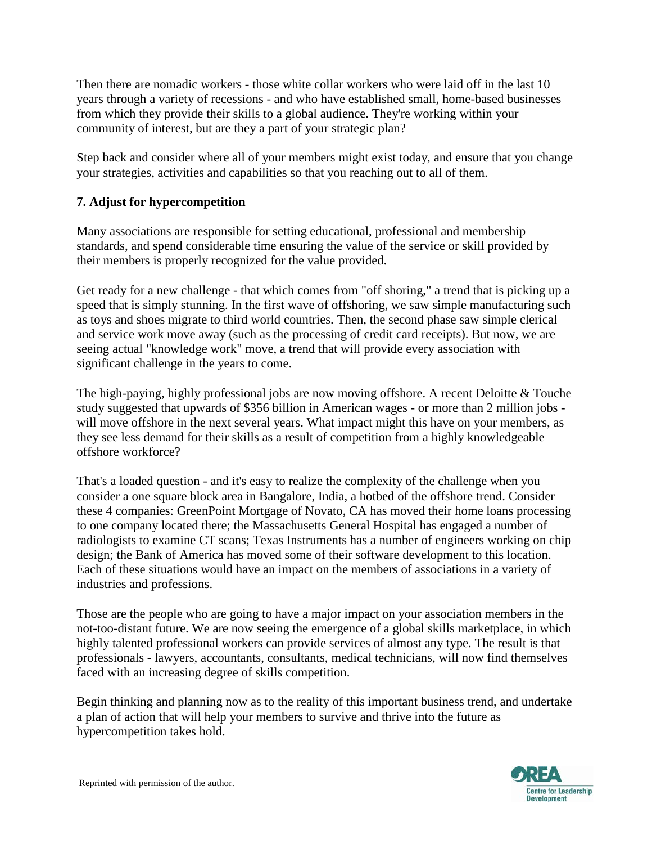Then there are nomadic workers - those white collar workers who were laid off in the last 10 years through a variety of recessions - and who have established small, home-based businesses from which they provide their skills to a global audience. They're working within your community of interest, but are they a part of your strategic plan?

Step back and consider where all of your members might exist today, and ensure that you change your strategies, activities and capabilities so that you reaching out to all of them.

# **7. Adjust for hypercompetition**

Many associations are responsible for setting educational, professional and membership standards, and spend considerable time ensuring the value of the service or skill provided by their members is properly recognized for the value provided.

Get ready for a new challenge - that which comes from "off shoring," a trend that is picking up a speed that is simply stunning. In the first wave of offshoring, we saw simple manufacturing such as toys and shoes migrate to third world countries. Then, the second phase saw simple clerical and service work move away (such as the processing of credit card receipts). But now, we are seeing actual "knowledge work" move, a trend that will provide every association with significant challenge in the years to come.

The high-paying, highly professional jobs are now moving offshore. A recent Deloitte & Touche study suggested that upwards of \$356 billion in American wages - or more than 2 million jobs will move offshore in the next several years. What impact might this have on your members, as they see less demand for their skills as a result of competition from a highly knowledgeable offshore workforce?

That's a loaded question - and it's easy to realize the complexity of the challenge when you consider a one square block area in Bangalore, India, a hotbed of the offshore trend. Consider these 4 companies: GreenPoint Mortgage of Novato, CA has moved their home loans processing to one company located there; the Massachusetts General Hospital has engaged a number of radiologists to examine CT scans; Texas Instruments has a number of engineers working on chip design; the Bank of America has moved some of their software development to this location. Each of these situations would have an impact on the members of associations in a variety of industries and professions.

Those are the people who are going to have a major impact on your association members in the not-too-distant future. We are now seeing the emergence of a global skills marketplace, in which highly talented professional workers can provide services of almost any type. The result is that professionals - lawyers, accountants, consultants, medical technicians, will now find themselves faced with an increasing degree of skills competition.

Begin thinking and planning now as to the reality of this important business trend, and undertake a plan of action that will help your members to survive and thrive into the future as hypercompetition takes hold.

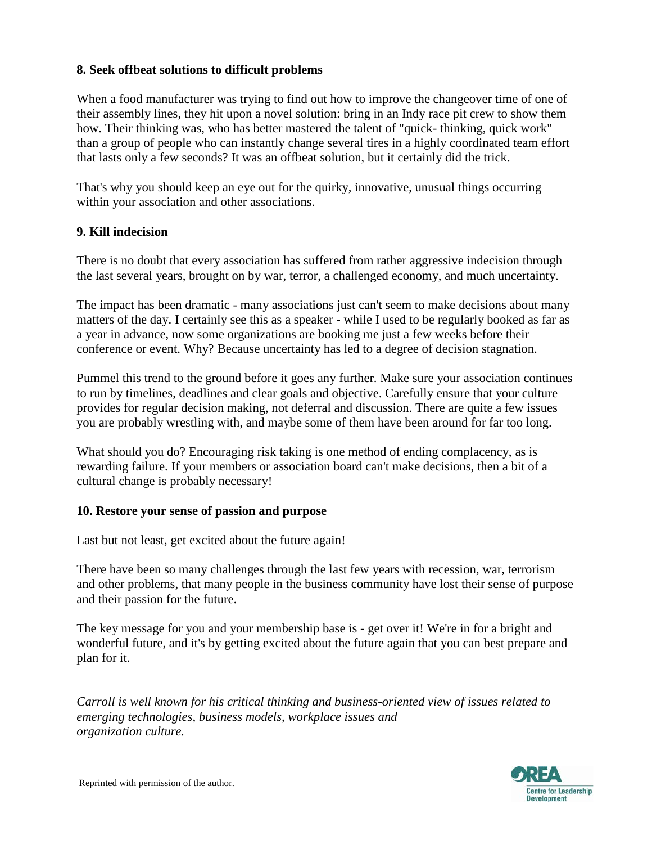#### **8. Seek offbeat solutions to difficult problems**

When a food manufacturer was trying to find out how to improve the changeover time of one of their assembly lines, they hit upon a novel solution: bring in an Indy race pit crew to show them how. Their thinking was, who has better mastered the talent of "quick- thinking, quick work" than a group of people who can instantly change several tires in a highly coordinated team effort that lasts only a few seconds? It was an offbeat solution, but it certainly did the trick.

That's why you should keep an eye out for the quirky, innovative, unusual things occurring within your association and other associations.

#### **9. Kill indecision**

There is no doubt that every association has suffered from rather aggressive indecision through the last several years, brought on by war, terror, a challenged economy, and much uncertainty.

The impact has been dramatic - many associations just can't seem to make decisions about many matters of the day. I certainly see this as a speaker - while I used to be regularly booked as far as a year in advance, now some organizations are booking me just a few weeks before their conference or event. Why? Because uncertainty has led to a degree of decision stagnation.

Pummel this trend to the ground before it goes any further. Make sure your association continues to run by timelines, deadlines and clear goals and objective. Carefully ensure that your culture provides for regular decision making, not deferral and discussion. There are quite a few issues you are probably wrestling with, and maybe some of them have been around for far too long.

What should you do? Encouraging risk taking is one method of ending complacency, as is rewarding failure. If your members or association board can't make decisions, then a bit of a cultural change is probably necessary!

#### **10. Restore your sense of passion and purpose**

Last but not least, get excited about the future again!

There have been so many challenges through the last few years with recession, war, terrorism and other problems, that many people in the business community have lost their sense of purpose and their passion for the future.

The key message for you and your membership base is - get over it! We're in for a bright and wonderful future, and it's by getting excited about the future again that you can best prepare and plan for it.

*Carroll is well known for his critical thinking and business-oriented view of issues related to emerging technologies, business models, workplace issues and organization culture.*